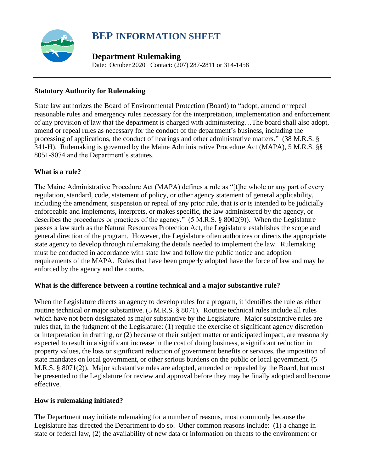

# **BEP INFORMATION SHEET**

# **Department Rulemaking**

Date: October 2020 Contact: (207) 287-2811 or 314-1458

## **Statutory Authority for Rulemaking**

State law authorizes the Board of Environmental Protection (Board) to "adopt, amend or repeal reasonable rules and emergency rules necessary for the interpretation, implementation and enforcement of any provision of law that the department is charged with administering…The board shall also adopt, amend or repeal rules as necessary for the conduct of the department's business, including the processing of applications, the conduct of hearings and other administrative matters." (38 M.R.S. § 341-H). Rulemaking is governed by the Maine Administrative Procedure Act (MAPA), 5 M.R.S. §§ 8051-8074 and the Department's statutes.

## **What is a rule?**

The Maine Administrative Procedure Act (MAPA) defines a rule as "[t]he whole or any part of every regulation, standard, code, statement of policy, or other agency statement of general applicability, including the amendment, suspension or repeal of any prior rule, that is or is intended to be judicially enforceable and implements, interprets, or makes specific, the law administered by the agency, or describes the procedures or practices of the agency." (5 M.R.S. § 8002(9)). When the Legislature passes a law such as the Natural Resources Protection Act, the Legislature establishes the scope and general direction of the program. However, the Legislature often authorizes or directs the appropriate state agency to develop through rulemaking the details needed to implement the law. Rulemaking must be conducted in accordance with state law and follow the public notice and adoption requirements of the MAPA. Rules that have been properly adopted have the force of law and may be enforced by the agency and the courts.

### **What is the difference between a routine technical and a major substantive rule?**

When the Legislature directs an agency to develop rules for a program, it identifies the rule as either routine technical or major substantive. (5 M.R.S. § 8071). Routine technical rules include all rules which have not been designated as major substantive by the Legislature. Major substantive rules are rules that, in the judgment of the Legislature: (1) require the exercise of significant agency discretion or interpretation in drafting, or (2) because of their subject matter or anticipated impact, are reasonably expected to result in a significant increase in the cost of doing business, a significant reduction in property values, the loss or significant reduction of government benefits or services, the imposition of state mandates on local government, or other serious burdens on the public or local government. (5 M.R.S. § 8071(2)). Major substantive rules are adopted, amended or repealed by the Board, but must be presented to the Legislature for review and approval before they may be finally adopted and become effective.

### **How is rulemaking initiated?**

The Department may initiate rulemaking for a number of reasons, most commonly because the Legislature has directed the Department to do so. Other common reasons include: (1) a change in state or federal law, (2) the availability of new data or information on threats to the environment or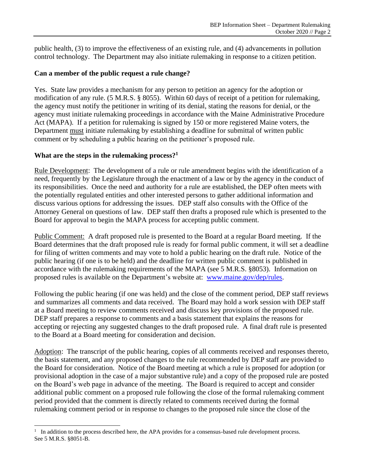public health, (3) to improve the effectiveness of an existing rule, and (4) advancements in pollution control technology. The Department may also initiate rulemaking in response to a citizen petition.

#### **Can a member of the public request a rule change?**

Yes. State law provides a mechanism for any person to petition an agency for the adoption or modification of any rule. (5 M.R.S. § 8055). Within 60 days of receipt of a petition for rulemaking, the agency must notify the petitioner in writing of its denial, stating the reasons for denial, or the agency must initiate rulemaking proceedings in accordance with the Maine Administrative Procedure Act (MAPA). If a petition for rulemaking is signed by 150 or more registered Maine voters, the Department must initiate rulemaking by establishing a deadline for submittal of written public comment or by scheduling a public hearing on the petitioner's proposed rule.

#### **What are the steps in the rulemaking process?<sup>1</sup>**

Rule Development: The development of a rule or rule amendment begins with the identification of a need, frequently by the Legislature through the enactment of a law or by the agency in the conduct of its responsibilities. Once the need and authority for a rule are established, the DEP often meets with the potentially regulated entities and other interested persons to gather additional information and discuss various options for addressing the issues. DEP staff also consults with the Office of the Attorney General on questions of law. DEP staff then drafts a proposed rule which is presented to the Board for approval to begin the MAPA process for accepting public comment.

Public Comment: A draft proposed rule is presented to the Board at a regular Board meeting. If the Board determines that the draft proposed rule is ready for formal public comment, it will set a deadline for filing of written comments and may vote to hold a public hearing on the draft rule. Notice of the public hearing (if one is to be held) and the deadline for written public comment is published in accordance with the rulemaking requirements of the MAPA (see 5 M.R.S. §8053). Information on proposed rules is available on the Department's website at: [www.maine.gov/dep/rules.](http://www.maine.gov/dep/rules.htm)

Following the public hearing (if one was held) and the close of the comment period, DEP staff reviews and summarizes all comments and data received. The Board may hold a work session with DEP staff at a Board meeting to review comments received and discuss key provisions of the proposed rule. DEP staff prepares a response to comments and a basis statement that explains the reasons for accepting or rejecting any suggested changes to the draft proposed rule. A final draft rule is presented to the Board at a Board meeting for consideration and decision.

Adoption: The transcript of the public hearing, copies of all comments received and responses thereto, the basis statement, and any proposed changes to the rule recommended by DEP staff are provided to the Board for consideration. Notice of the Board meeting at which a rule is proposed for adoption (or provisional adoption in the case of a major substantive rule) and a copy of the proposed rule are posted on the Board's web page in advance of the meeting. The Board is required to accept and consider additional public comment on a proposed rule following the close of the formal rulemaking comment period provided that the comment is directly related to comments received during the formal rulemaking comment period or in response to changes to the proposed rule since the close of the

<sup>1</sup> In addition to the process described here, the APA provides for a consensus-based rule development process. See 5 M.R.S. §8051-B.